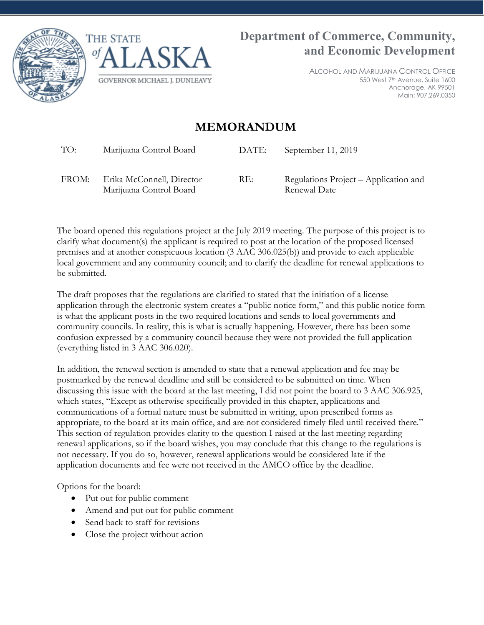



ALCOHOL AND MARIJUANA CONTROL OFFICE 550 West 7th Avenue, Suite 1600 Anchorage, AK 99501 Main: 907.269.0350

## **MEMORANDUM**

TO: Marijuana Control Board DATE: September 11, 2019

FROM: Erika McConnell, Director Marijuana Control Board

RE: Regulations Project – Application and Renewal Date

The board opened this regulations project at the July 2019 meeting. The purpose of this project is to clarify what document(s) the applicant is required to post at the location of the proposed licensed premises and at another conspicuous location (3 AAC 306.025(b)) and provide to each applicable local government and any community council; and to clarify the deadline for renewal applications to be submitted.

The draft proposes that the regulations are clarified to stated that the initiation of a license application through the electronic system creates a "public notice form," and this public notice form is what the applicant posts in the two required locations and sends to local governments and community councils. In reality, this is what is actually happening. However, there has been some confusion expressed by a community council because they were not provided the full application (everything listed in 3 AAC 306.020).

In addition, the renewal section is amended to state that a renewal application and fee may be postmarked by the renewal deadline and still be considered to be submitted on time. When discussing this issue with the board at the last meeting, I did not point the board to 3 AAC 306.925, which states, "Except as otherwise specifically provided in this chapter, applications and communications of a formal nature must be submitted in writing, upon prescribed forms as appropriate, to the board at its main office, and are not considered timely filed until received there." This section of regulation provides clarity to the question I raised at the last meeting regarding renewal applications, so if the board wishes, you may conclude that this change to the regulations is not necessary. If you do so, however, renewal applications would be considered late if the application documents and fee were not received in the AMCO office by the deadline.

Options for the board:

- Put out for public comment
- Amend and put out for public comment
- Send back to staff for revisions
- Close the project without action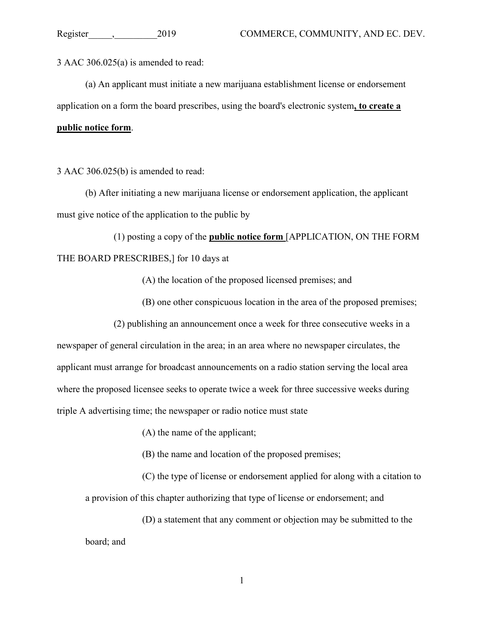3 AAC 306.025(a) is amended to read:

(a) An applicant must initiate a new marijuana establishment license or endorsement application on a form the board prescribes, using the board's electronic system**, to create a public notice form**.

3 AAC 306.025(b) is amended to read:

(b) After initiating a new marijuana license or endorsement application, the applicant must give notice of the application to the public by

(1) posting a copy of the **public notice form** [APPLICATION, ON THE FORM THE BOARD PRESCRIBES,] for 10 days at

(A) the location of the proposed licensed premises; and

(B) one other conspicuous location in the area of the proposed premises;

(2) publishing an announcement once a week for three consecutive weeks in a newspaper of general circulation in the area; in an area where no newspaper circulates, the applicant must arrange for broadcast announcements on a radio station serving the local area where the proposed licensee seeks to operate twice a week for three successive weeks during triple A advertising time; the newspaper or radio notice must state

- (A) the name of the applicant;
- (B) the name and location of the proposed premises;

(C) the type of license or endorsement applied for along with a citation to a provision of this chapter authorizing that type of license or endorsement; and

(D) a statement that any comment or objection may be submitted to the board; and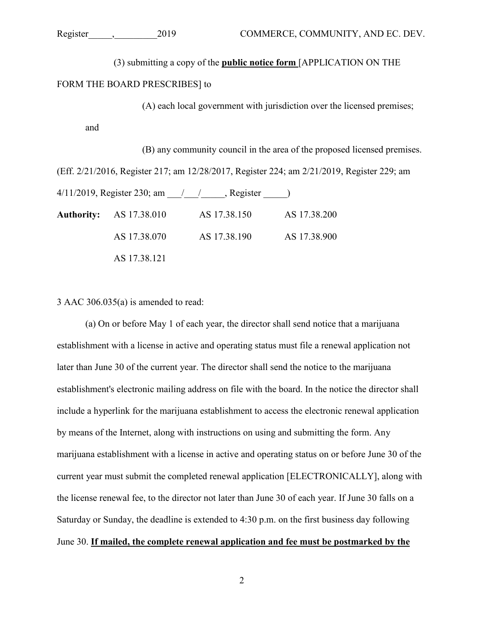(3) submitting a copy of the **public notice form** [APPLICATION ON THE

## FORM THE BOARD PRESCRIBES] to

(A) each local government with jurisdiction over the licensed premises;

and

(B) any community council in the area of the proposed licensed premises.

(Eff. 2/21/2016, Register 217; am 12/28/2017, Register 224; am 2/21/2019, Register 229; am

 $4/11/2019$ , Register 230; am  $\frac{1}{2}$  /  $\frac{1}{2}$ , Register  $\frac{1}{2}$ 

| <b>Authority:</b> AS 17.38.010 | AS 17.38.150 | AS 17.38.200 |
|--------------------------------|--------------|--------------|
| AS 17.38.070                   | AS 17.38.190 | AS 17.38.900 |
| AS 17.38.121                   |              |              |

3 AAC 306.035(a) is amended to read:

(a) On or before May 1 of each year, the director shall send notice that a marijuana establishment with a license in active and operating status must file a renewal application not later than June 30 of the current year. The director shall send the notice to the marijuana establishment's electronic mailing address on file with the board. In the notice the director shall include a hyperlink for the marijuana establishment to access the electronic renewal application by means of the Internet, along with instructions on using and submitting the form. Any marijuana establishment with a license in active and operating status on or before June 30 of the current year must submit the completed renewal application [ELECTRONICALLY], along with the license renewal fee, to the director not later than June 30 of each year. If June 30 falls on a Saturday or Sunday, the deadline is extended to 4:30 p.m. on the first business day following June 30. **If mailed, the complete renewal application and fee must be postmarked by the**